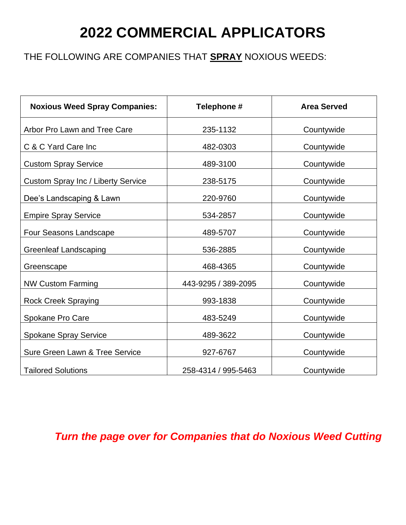## **2022 COMMERCIAL APPLICATORS**

### THE FOLLOWING ARE COMPANIES THAT **SPRAY** NOXIOUS WEEDS:

| <b>Noxious Weed Spray Companies:</b>      | Telephone #         | <b>Area Served</b> |
|-------------------------------------------|---------------------|--------------------|
| Arbor Pro Lawn and Tree Care              | 235-1132            | Countywide         |
| C & C Yard Care Inc                       | 482-0303            | Countywide         |
| <b>Custom Spray Service</b>               | 489-3100            | Countywide         |
| <b>Custom Spray Inc / Liberty Service</b> | 238-5175            | Countywide         |
| Dee's Landscaping & Lawn                  | 220-9760            | Countywide         |
| <b>Empire Spray Service</b>               | 534-2857            | Countywide         |
| Four Seasons Landscape                    | 489-5707            | Countywide         |
| <b>Greenleaf Landscaping</b>              | 536-2885            | Countywide         |
| Greenscape                                | 468-4365            | Countywide         |
| <b>NW Custom Farming</b>                  | 443-9295 / 389-2095 | Countywide         |
| <b>Rock Creek Spraying</b>                | 993-1838            | Countywide         |
| Spokane Pro Care                          | 483-5249            | Countywide         |
| <b>Spokane Spray Service</b>              | 489-3622            | Countywide         |
| <b>Sure Green Lawn &amp; Tree Service</b> | 927-6767            | Countywide         |
| <b>Tailored Solutions</b>                 | 258-4314 / 995-5463 | Countywide         |

*Turn the page over for Companies that do Noxious Weed Cutting*